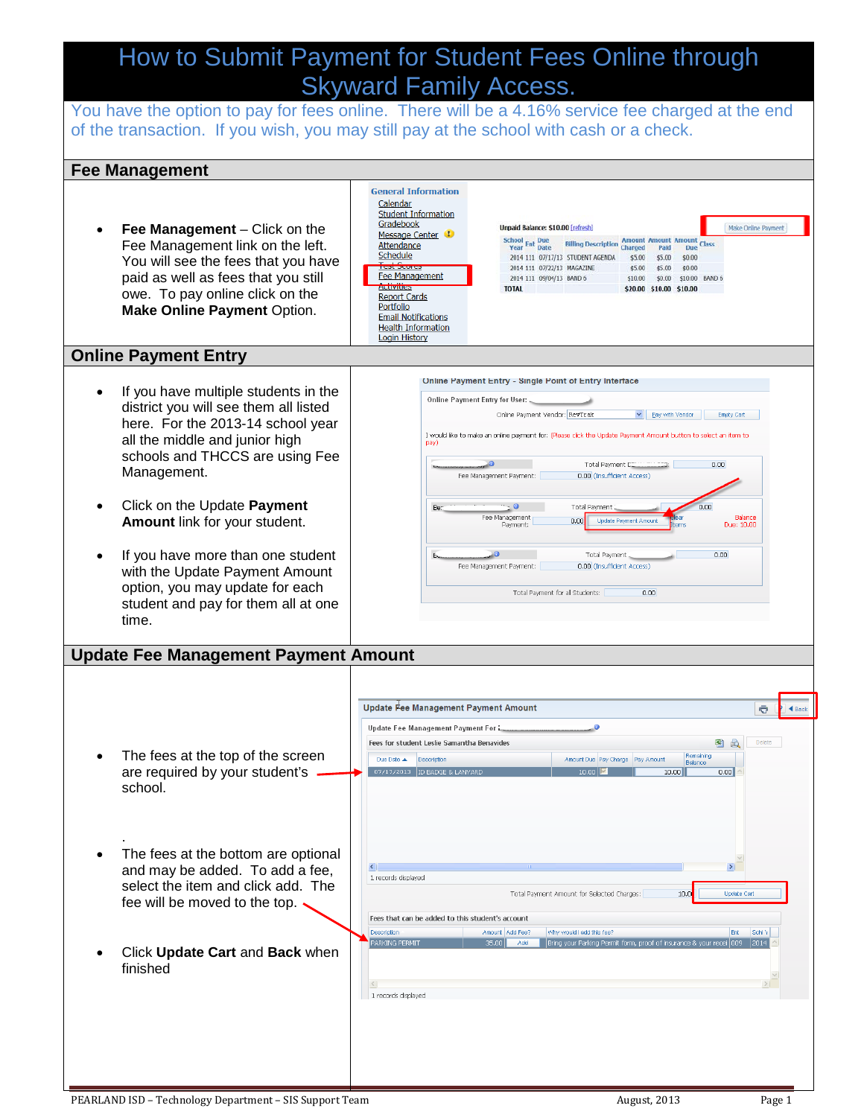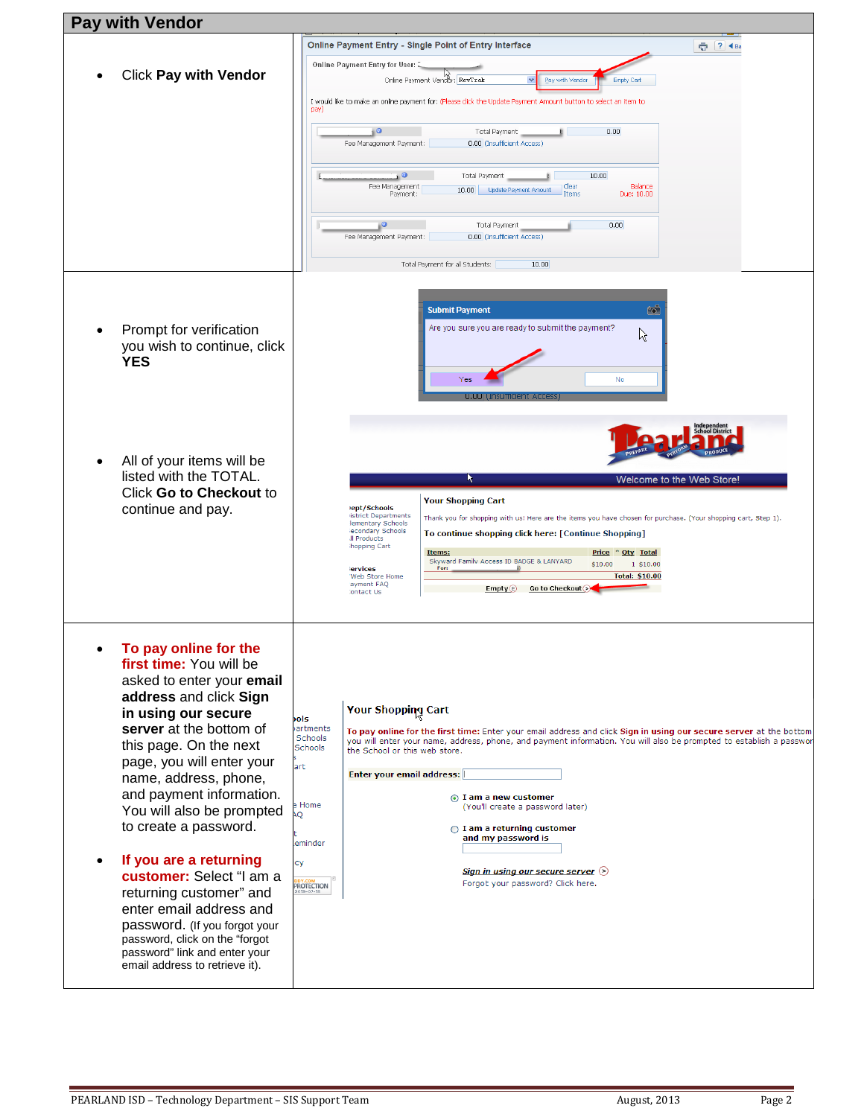| <b>Pay with Vendor</b>                                                                                                                                                                                                                                                                                                                                                                                                                                                                                                                                                        |                                                                                                                                                                                                                                                                                                                                                                                                                                                                                                                                                                                                                                                                 |  |
|-------------------------------------------------------------------------------------------------------------------------------------------------------------------------------------------------------------------------------------------------------------------------------------------------------------------------------------------------------------------------------------------------------------------------------------------------------------------------------------------------------------------------------------------------------------------------------|-----------------------------------------------------------------------------------------------------------------------------------------------------------------------------------------------------------------------------------------------------------------------------------------------------------------------------------------------------------------------------------------------------------------------------------------------------------------------------------------------------------------------------------------------------------------------------------------------------------------------------------------------------------------|--|
|                                                                                                                                                                                                                                                                                                                                                                                                                                                                                                                                                                               | Online Payment Entry - Single Point of Entry Interface<br>$ ? $ 4 Ba<br>Ō.                                                                                                                                                                                                                                                                                                                                                                                                                                                                                                                                                                                      |  |
|                                                                                                                                                                                                                                                                                                                                                                                                                                                                                                                                                                               | Online Payment Entry for User: 2                                                                                                                                                                                                                                                                                                                                                                                                                                                                                                                                                                                                                                |  |
| <b>Click Pay with Vendor</b>                                                                                                                                                                                                                                                                                                                                                                                                                                                                                                                                                  | Online Payment Vendor: RevTrak<br>Pay with Vendor<br><b>Empty Cart</b>                                                                                                                                                                                                                                                                                                                                                                                                                                                                                                                                                                                          |  |
|                                                                                                                                                                                                                                                                                                                                                                                                                                                                                                                                                                               | I would like to make an online payment for: (Please click the Update Payment Amount button to select an item to<br>pay)                                                                                                                                                                                                                                                                                                                                                                                                                                                                                                                                         |  |
|                                                                                                                                                                                                                                                                                                                                                                                                                                                                                                                                                                               | 0.00<br>10<br>Total Payment<br>Fee Management Payment:<br>0.00 (Insufficient Access)                                                                                                                                                                                                                                                                                                                                                                                                                                                                                                                                                                            |  |
|                                                                                                                                                                                                                                                                                                                                                                                                                                                                                                                                                                               | 10.00<br>1 O<br>Total Payment<br>Clear<br>Balance<br>Fee Management<br><b>Update Payment Amount</b><br>10.00<br>Items<br>Due: 10.00<br>Payment:                                                                                                                                                                                                                                                                                                                                                                                                                                                                                                                 |  |
|                                                                                                                                                                                                                                                                                                                                                                                                                                                                                                                                                                               | 0.00<br>Total Payment<br>0.00 (Insufficient Access)<br>Fee Management Payment:                                                                                                                                                                                                                                                                                                                                                                                                                                                                                                                                                                                  |  |
|                                                                                                                                                                                                                                                                                                                                                                                                                                                                                                                                                                               | Total Payment for all Students:<br>10.00                                                                                                                                                                                                                                                                                                                                                                                                                                                                                                                                                                                                                        |  |
| Prompt for verification<br>you wish to continue, click<br><b>YES</b>                                                                                                                                                                                                                                                                                                                                                                                                                                                                                                          | <b>Submit Payment</b><br>$\overline{\mathbf{O}}$<br>Are you sure you are ready to submit the payment?<br>ß<br>Yes<br>No<br><b>U.UU</b>                                                                                                                                                                                                                                                                                                                                                                                                                                                                                                                          |  |
| All of your items will be<br>listed with the TOTAL.<br>Click Go to Checkout to<br>continue and pay.                                                                                                                                                                                                                                                                                                                                                                                                                                                                           | K<br>Welcome to the Web Store!<br><b>Your Shopping Cart</b><br>lept/Schools<br><b>istrict Departments</b><br>Thank you for shopping with us! Here are the items you have chosen for purchase. (Your shopping cart, Step 1).<br>lementary Schools<br>lecondary Schools<br>To continue shopping click here: [Continue Shopping]<br>Il Products<br>hopping Cart<br>Price * Oty Total<br>Items:<br>Skyward Family Access ID BADGE & LANYARD<br>\$10.00<br>1 \$10.00<br>For:<br>ervices<br><b>Total: \$10.00</b><br>'Web Store Home<br>ayment FAQ<br>Go to Checkout $\sim$<br>Empty(E)<br>Iontact Us                                                                 |  |
| To pay online for the<br>first time: You will be<br>asked to enter your email<br>address and click Sign<br>in using our secure<br>server at the bottom of<br>this page. On the next<br>page, you will enter your<br>name, address, phone,<br>and payment information.<br>You will also be prompted<br>to create a password.<br>If you are a returning<br>customer: Select "I am a<br>returning customer" and<br>enter email address and<br>password. (If you forgot your<br>password, click on the "forgot<br>password" link and enter your<br>email address to retrieve it). | <b>Your Shopping Cart</b><br>bols<br>artments<br>To pay online for the first time: Enter your email address and click Sign in using our secure server at the bottom<br>Schools<br>you will enter your name, address, phone, and payment information. You will also be prompted to establish a passwor<br>Schools<br>the School or this web store.<br>art<br>Enter your email address:<br>1 am a new customer<br><b>Home</b><br>(You'll create a password later)<br>Q<br>$\bigcirc$ I am a returning customer<br>and my password is<br>eminder<br>cy<br><u>Sign in using our secure server</u> $\odot$<br>Forgot your password? Click here.<br><b>PROTECTION</b> |  |

L